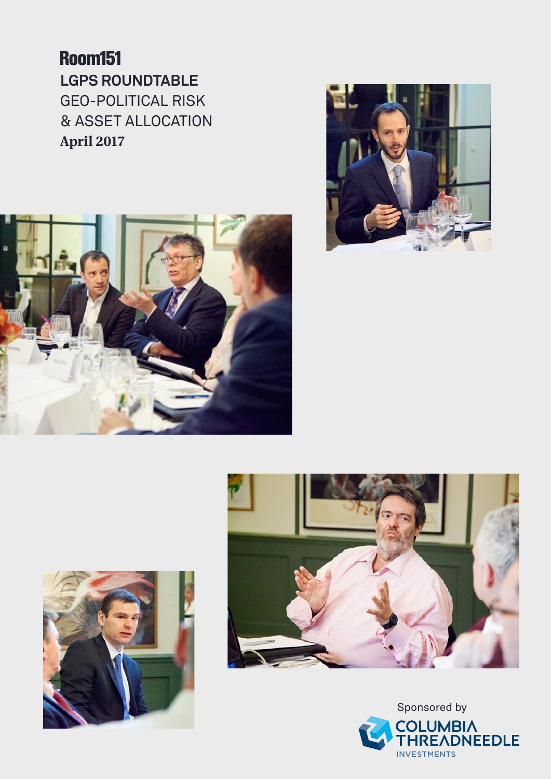**Room151 LGPS Roundtable**  Geo-political risk & asset allocation **April 2017**









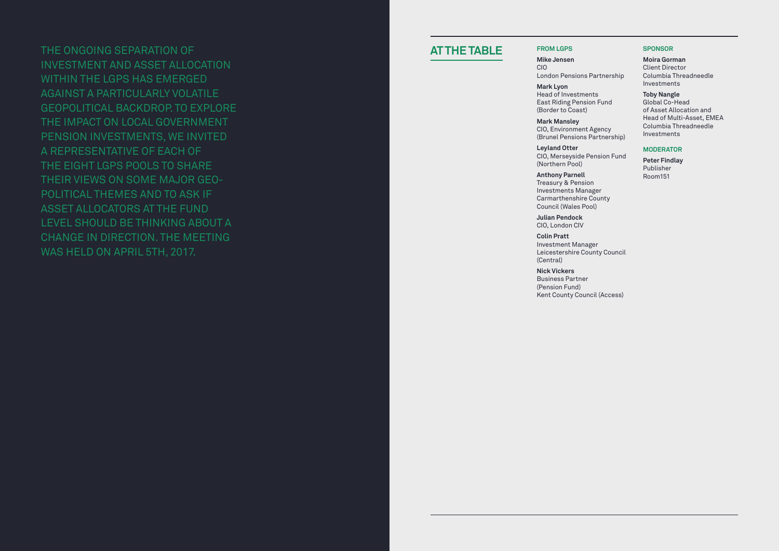The on goin g separation of investment and asset allocation within the L GPS has emer ged a gainst a particularly volatile geopolitical backdrop. To explore the impact on local government pension investments, we invited a representative of each of the ei ght L GPS pools to share their views on some major geopolitical themes and to ask if asset allocators at the fund level should be thinkin g about a chan ge in direction. The meetin g was held on April 5th, 2017.

**Julian Pendock** CIO, London C

**Nick Vickers** Business Partner<br>(Pension Fund)<br>Kent County Council (Access)

## **SPONSOF**

# **At the tab l e**

## **f rom LGPS**

**Mike Jensen** CIO

London Pensions Partnership

**Mark Lyon** Head of Investments East Riding Pension Fund (Border to Coast)

**Mark Mansley** CIO, Environment Agency ( Brunel Pensions Partnership)

**Leyland Otter** CIO, Merseyside Pension Fund ( Northern Pool)

**Anthony Parnell** Treasury & Pension Investments Manager Carmarthenshire County Council (Wales Pool)

**Colin Pratt** Investment Manager Leicestershire County Council ( Central)

**Moira Gorman** Client Director Columbia Threadneedle Investments

**Toby Nangle** Global Co-Head of Asset Allocation and Head of Multi-Asset, EI Columbia Threadneedle Investments

## **Moderator**

**Peter Findlay** Publisher Room151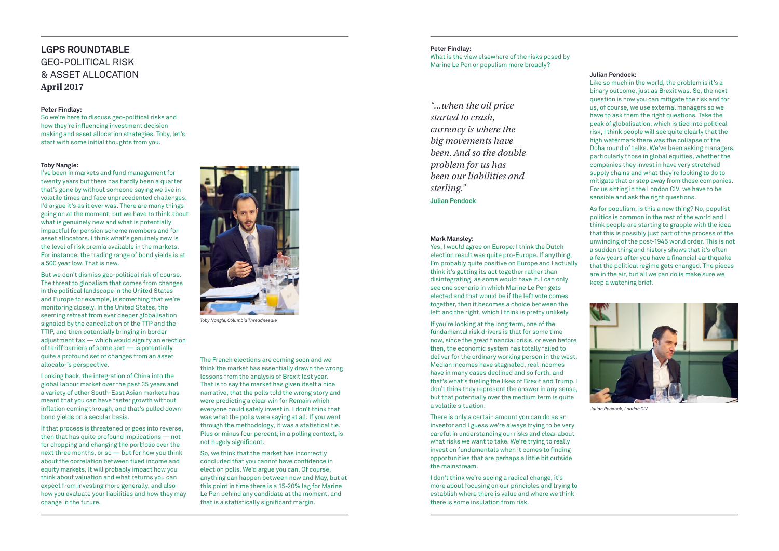#### **Peter Findlay:**

What is the view elsewhere of the risks posed by Marine Le Pen or populism more broadly?

#### **Julian Pendock:**

Like so much in the world, the problem is it's a binary outcome, just as Brexit was. So, the next question is how you can mitigate the risk and for us, of course, we use external managers so we have to ask them the right questions. Take the peak of globalisation, which is tied into political risk, I think people will see quite clearly that the high watermark there was the collapse of the Doha round of talks. We've been asking managers, particularly those in global equities, whether the companies they invest in have very stretched supply chains and what they're looking to do to mitigate that or step away from those companies. For us sitting in the London CIV, we have to be sensible and ask the right questions.

As for populism, is this a new thing? No, populist politics is common in the rest of the world and I think people are starting to grapple with the idea that this is possibly just part of the process of the unwinding of the post-1945 world order. This is not a sudden thing and history shows that it's often a few years after you have a financial earthquake that the political regime gets changed. The pieces are in the air, but all we can do is make sure we keep a watching brief.

#### **Mark Mansley:**

Yes, I would agree on Europe: I think the Dutch election result was quite pro-Europe. If anything, I'm probably quite positive on Europe and I actually think it's getting its act together rather than disintegrating, as some would have it. I can only see one scenario in which Marine Le Pen gets elected and that would be if the left vote comes together, then it becomes a choice between the left and the right, which I think is pretty unlikely

If you're looking at the long term, one of the fundamental risk drivers is that for some time now, since the great financial crisis, or even before then, the economic system has totally failed to deliver for the ordinary working person in the west. Median incomes have stagnated, real incomes have in many cases declined and so forth, and that's what's fueling the likes of Brexit and Trump. I don't think they represent the answer in any sense, but that potentially over the medium term is quite a volatile situation.

There is only a certain amount you can do as an investor and I guess we're always trying to be very careful in understanding our risks and clear about what risks we want to take. We're trying to really invest on fundamentals when it comes to finding opportunities that are perhaps a little bit outside the mainstream.

I don't think we're seeing a radical change, it's more about focusing on our principles and trying to establish where there is value and where we think there is some insulation from risk.

# **LGPS Roundtable**  Geo-political risk & asset allocation **April 2017**

#### **Peter Findlay:**

So we're here to discuss geo-political risks and how they're influencing investment decision making and asset allocation strategies. Toby, let's start with some initial thoughts from you.

#### **Toby Nangle:**

I've been in markets and fund management for twenty years but there has hardly been a quarter that's gone by without someone saying we live in volatile times and face unprecedented challenges. I'd argue it's as it ever was. There are many things going on at the moment, but we have to think about what is genuinely new and what is potentially impactful for pension scheme members and for asset allocators. I think what's genuinely new is the level of risk premia available in the markets. For instance, the trading range of bond yields is at a 500 year low. That is new.

But we don't dismiss geo-political risk of course. The threat to globalism that comes from changes in the political landscape in the United States and Europe for example, is something that we're monitoring closely. In the United States, the seeming retreat from ever deeper globalisation signaled by the cancellation of the TTP and the TTIP, and then potentially bringing in border adjustment tax — which would signify an erection of tariff barriers of some sort — is potentially quite a profound set of changes from an asset allocator's perspective.

Looking back, the integration of China into the global labour market over the past 35 years and a variety of other South-East Asian markets has meant that you can have faster growth without inflation coming through, and that's pulled down bond yields on a secular basis.

If that process is threatened or goes into reverse, then that has quite profound implications — not for chopping and changing the portfolio over the next three months, or so — but for how you think about the correlation between fixed income and equity markets. It will probably impact how you think about valuation and what returns you can expect from investing more generally, and also how you evaluate your liabilities and how they may change in the future.

The French elections are coming soon and we think the market has essentially drawn the wrong lessons from the analysis of Brexit last year. That is to say the market has given itself a nice narrative, that the polls told the wrong story and were predicting a clear win for Remain which everyone could safely invest in. I don't think that was what the polls were saying at all. If you went through the methodology, it was a statistical tie. Plus or minus four percent, in a polling context, is not hugely significant.

So, we think that the market has incorrectly concluded that you cannot have confidence in election polls. We'd argue you can. Of course, anything can happen between now and May, but at this point in time there is a 15-20% lag for Marine Le Pen behind any candidate at the moment, and that is a statistically significant margin.



*Toby Nangle, Columbia Threadneedle*

*"...when the oil price started to crash, currency is where the big movements have been. And so the double problem for us has been our liabilities and sterling."*

**Julian Pendock**



*Julian Pendock, London CIV*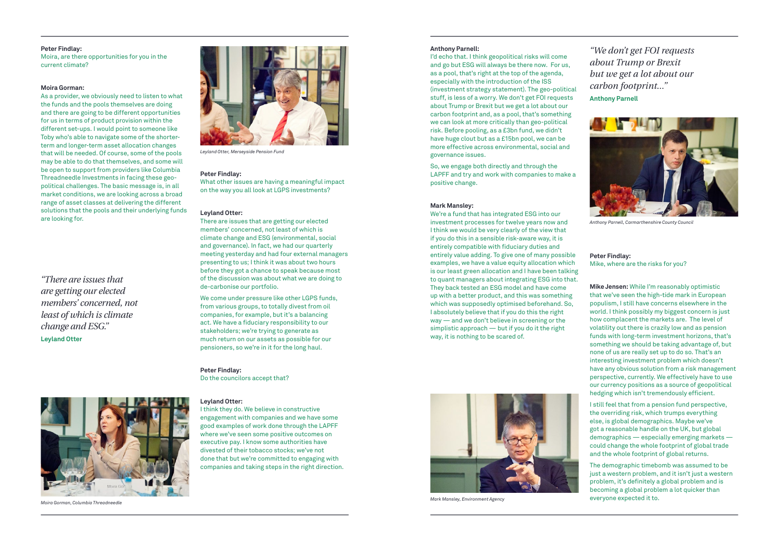#### **Peter Findlay:**

Moira, are there opportunities for you in the current climate?

#### **Moira Gorman:**

As a provider, we obviously need to listen to what the funds and the pools themselves are doing and there are going to be different opportunities for us in terms of product provision within the different set-ups. I would point to someone like Toby who's able to navigate some of the shorterterm and longer-term asset allocation changes that will be needed. Of course, some of the pools may be able to do that themselves, and some will be open to support from providers like Columbia Threadneedle Investments in facing these geopolitical challenges. The basic message is, in all market conditions, we are looking across a broad range of asset classes at delivering the different solutions that the pools and their underlying funds are looking for.

#### **Peter Findlay:**

What other issues are having a meaningful impact on the way you all look at LGPS investments?

#### **Leyland Otter:**

There are issues that are getting our elected members' concerned, not least of which is climate change and ESG (environmental, social and governance). In fact, we had our quarterly meeting yesterday and had four external managers presenting to us; I think it was about two hours before they got a chance to speak because most of the discussion was about what we are doing to de-carbonise our portfolio.

We come under pressure like other LGPS funds, from various groups, to totally divest from oil companies, for example, but it's a balancing act. We have a fiduciary responsibility to our stakeholders; we're trying to generate as much return on our assets as possible for our pensioners, so we're in it for the long haul.

**Peter Findlay:** Do the councilors accept that?

#### **Leyland Otter:**

I think they do. We believe in constructive engagement with companies and we have some good examples of work done through the LAPFF where we've seen some positive outcomes on executive pay. I know some authorities have divested of their tobacco stocks; we've not done that but we're committed to engaging with companies and taking steps in the right direction.

#### **Anthony Parnell:**

I'd echo that. I think geopolitical risks will come and go but ESG will always be there now. For us, as a pool, that's right at the top of the agenda, especially with the introduction of the ISS (investment strategy statement). The geo-political stuff, is less of a worry. We don't get FOI requests about Trump or Brexit but we get a lot about our carbon footprint and, as a pool, that's something we can look at more critically than geo-political risk. Before pooling, as a £3bn fund, we didn't have huge clout but as a £15bn pool, we can be more effective across environmental, social and governance issues.

So, we engage both directly and through the LAPFF and try and work with companies to make a positive change.

#### **Mark Mansley:**

We're a fund that has integrated ESG into our investment processes for twelve years now and I think we would be very clearly of the view that if you do this in a sensible risk-aware way, it is entirely compatible with fiduciary duties and entirely value adding. To give one of many possible examples, we have a value equity allocation which is our least green allocation and I have been talking to quant managers about integrating ESG into that. They back tested an ESG model and have come up with a better product, and this was something which was supposedly optimised beforehand. So, I absolutely believe that if you do this the right way — and we don't believe in screening or the simplistic approach — but if you do it the right way, it is nothing to be scared of.

## **Peter Findlay:** Mike, where are the risks for you?

**Mike Jensen:** While I'm reasonably optimistic that we've seen the high-tide mark in European populism, I still have concerns elsewhere in the world. I think possibly my biggest concern is just how complacent the markets are. The level of volatility out there is crazily low and as pension funds with long-term investment horizons, that's something we should be taking advantage of, but none of us are really set up to do so. That's an interesting investment problem which doesn't have any obvious solution from a risk management perspective, currently. We effectively have to use our currency positions as a source of geopolitical hedging which isn't tremendously efficient.

I still feel that from a pension fund perspective, the overriding risk, which trumps everything else, is global demographics. Maybe we've got a reasonable handle on the UK, but global demographics — especially emerging markets could change the whole footprint of global trade and the whole footprint of global returns.

The demographic timebomb was assumed to be just a western problem, and it isn't just a western problem, it's definitely a global problem and is becoming a global problem a lot quicker than everyone expected it to.

*"We don't get FOI requests about Trump or Brexit but we get a lot about our carbon footprint..."* **Anthony Parnell**

*"There are issues that are getting our elected members' concerned, not least of which is climate change and ESG."* **Leyland Otter**





*Leyland Otter, Merseyside Pension Fund*

*Moira Gorman, Columbia Threadneedle*



*Anthony Parnell, Carmarthenshire County Council*



*Mark Mansley, Environment Agency*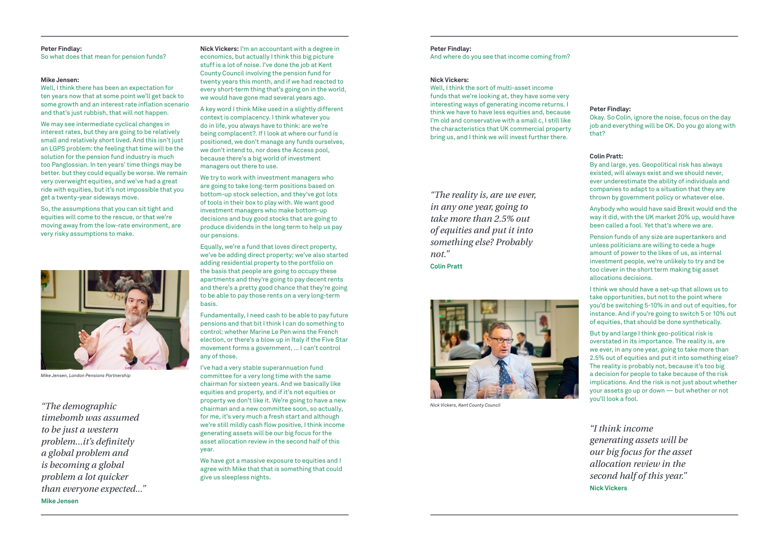#### **Peter Findlay:**

So what does that mean for pension funds?

## **Mike Jensen:**

Well, I think there has been an expectation for ten years now that at some point we'll get back to some growth and an interest rate inflation scenario and that's just rubbish, that will not happen.

We may see intermediate cyclical changes in interest rates, but they are going to be relatively small and relatively short lived. And this isn't just an LGPS problem: the feeling that time will be the solution for the pension fund industry is much too Panglossian. In ten years' time things may be better. but they could equally be worse. We remain very overweight equities, and we've had a great ride with equities, but it's not impossible that you get a twenty-year sideways move.

So, the assumptions that you can sit tight and equities will come to the rescue, or that we're moving away from the low-rate environment, are very risky assumptions to make.

**Nick Vickers:** I'm an accountant with a degree in economics, but actually I think this big picture stuff is a lot of noise. I've done the job at Kent County Council involving the pension fund for twenty years this month, and if we had reacted to every short-term thing that's going on in the world, we would have gone mad several years ago.

A key word I think Mike used in a slightly different context is complacency. I think whatever you do in life, you always have to think: are we're being complacent?. If I look at where our fund is positioned, we don't manage any funds ourselves, we don't intend to, nor does the Access pool, because there's a big world of investment managers out there to use.

We try to work with investment managers who are going to take long-term positions based on bottom-up stock selection, and they've got lots of tools in their box to play with. We want good investment managers who make bottom-up decisions and buy good stocks that are going to produce dividends in the long term to help us pay our pensions.

Equally, we're a fund that loves direct property, we've be adding direct property; we've also started adding residential property to the portfolio on the basis that people are going to occupy these apartments and they're going to pay decent rents and there's a pretty good chance that they're going to be able to pay those rents on a very long-term basis.

Fundamentally, I need cash to be able to pay future pensions and that bit I think I can do something to control; whether Marine Le Pen wins the French election, or there's a blow up in Italy if the Five Star movement forms a government, … I can't control any of those.

I've had a very stable superannuation fund committee for a very long time with the same chairman for sixteen years. And we basically like equities and property, and if it's not equities or property we don't like it. We're going to have a new chairman and a new committee soon, so actually, *Nick Vickers, Kent County Council "The demographic*  for me, it's very much a fresh start and although we're still mildly cash flow positive, I think income generating assets will be our big focus for the asset allocation review in the second half of this year.

> We have got a massive exposure to equities and I agree with Mike that that is something that could give us sleepless nights.

## **Peter Findlay:**

And where do you see that income coming from?

## **Nick Vickers:**

Well, I think the sort of multi-asset income funds that we're looking at, they have some very interesting ways of generating income returns. I think we have to have less equities and, because I'm old and conservative with a small c, I still like the characteristics that UK commercial property bring us, and I think we will invest further there.

## **Peter Findlay:**

Okay. So Colin, ignore the noise, focus on the day job and everything will be OK. Do you go along with that?

## **Colin Pratt:**

By and large, yes. Geopolitical risk has always existed, will always exist and we should never, ever underestimate the ability of individuals and companies to adapt to a situation that they are thrown by government policy or whatever else.

Anybody who would have said Brexit would end the way it did, with the UK market 20% up, would have been called a fool. Yet that's where we are.

Pension funds of any size are supertankers and unless politicians are willing to cede a huge amount of power to the likes of us, as internal investment people, we're unlikely to try and be too clever in the short term making big asset allocations decisions.

I think we should have a set-up that allows us to take opportunities, but not to the point where you'd be switching 5-10% in and out of equities, for instance. And if you're going to switch 5 or 10% out of equities, that should be done synthetically.

But by and large I think geo-political risk is overstated in its importance. The reality is, are we ever, in any one year, going to take more than 2.5% out of equities and put it into something else? The reality is probably not, because it's too big a decision for people to take because of the risk implications. And the risk is not just about whether your assets go up or down — but whether or not you'll look a fool.

*"I think income generating assets will be our big focus for the asset allocation review in the second half of this year."* **Nick Vickers**

*"The reality is, are we ever, in any one year, going to take more than 2.5% out of equities and put it into something else? Probably not."*

**Colin Pratt**





*Mike Jensen, London Pensions Partnership*

*timebomb was assumed to be just a western problem...it's definitely a global problem and is becoming a global problem a lot quicker than everyone expected..."* **Mike Jensen**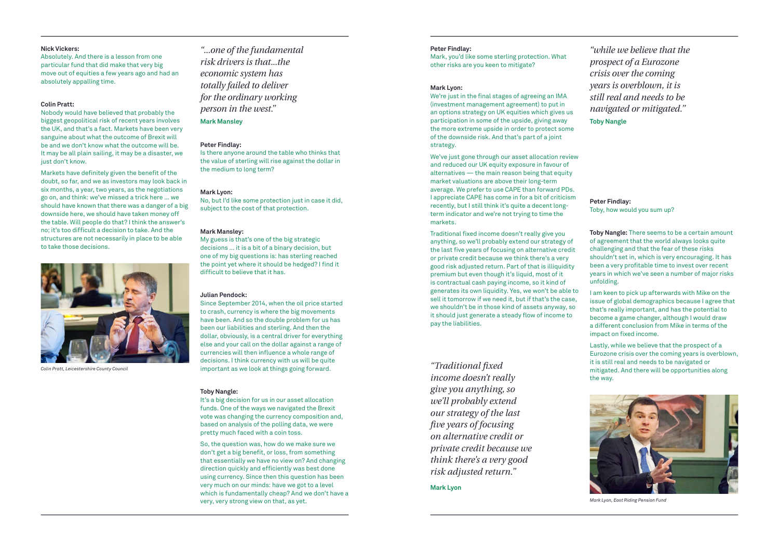## **Nick Vickers:**

Absolutely. And there is a lesson from one particular fund that did make that very big move out of equities a few years ago and had an absolutely appalling time.

## **Colin Pratt:**

Nobody would have believed that probably the biggest geopolitical risk of recent years involves the UK, and that's a fact. Markets have been very sanguine about what the outcome of Brexit will be and we don't know what the outcome will be. It may be all plain sailing, it may be a disaster, we just don't know.

Markets have definitely given the benefit of the doubt, so far, and we as investors may look back in six months, a year, two years, as the negotiations go on, and think: we've missed a trick here … we should have known that there was a danger of a big downside here, we should have taken money off the table. Will people do that? I think the answer's no; it's too difficult a decision to take. And the structures are not necessarily in place to be able to take those decisions.

## **Peter Findlay:**

Is there anyone around the table who thinks that the value of sterling will rise against the dollar in the medium to long term?

## **Mark Lyon:**

No, but I'd like some protection just in case it did, subject to the cost of that protection.

## **Mark Mansley:**

My guess is that's one of the big strategic decisions … it is a bit of a binary decision, but one of my big questions is: has sterling reached the point yet where it should be hedged? I find it difficult to believe that it has.

## **Julian Pendock:**

Since September 2014, when the oil price started to crash, currency is where the big movements have been. And so the double problem for us has been our liabilities and sterling. And then the dollar, obviously, is a central driver for everything else and your call on the dollar against a range of currencies will then influence a whole range of decisions. I think currency with us will be quite important as we look at things going forward.

## **Toby Nangle:**

It's a big decision for us in our asset allocation funds. One of the ways we navigated the Brexit vote was changing the currency composition and, based on analysis of the polling data, we were pretty much faced with a coin toss.

So, the question was, how do we make sure we don't get a big benefit, or loss, from something that essentially we have no view on? And changing direction quickly and efficiently was best done using currency. Since then this question has been very much on our minds: have we got to a level which is fundamentally cheap? And we don't have a very, very strong view on that, as yet.

## **Peter Findlay:**

Mark, you'd like some sterling protection. What other risks are you keen to mitigate?

## **Mark Lyon:**

We're just in the final stages of agreeing an IMA (investment management agreement) to put in an options strategy on UK equities which gives us participation in some of the upside, giving away the more extreme upside in order to protect some of the downside risk. And that's part of a joint strategy.

We've just gone through our asset allocation review and reduced our UK equity exposure in favour of  $a$ lternatives  $-$  the main reason being that equity market valuations are above their long-term average. We prefer to use CAPE than forward PDs. I appreciate CAPE has come in for a bit of criticism recently, but I still think it's quite a decent longterm indicator and we're not trying to time the markets.

Traditional fixed income doesn't really give you anything, so we'll probably extend our strategy of the last five years of focusing on alternative credit or private credit because we think there's a very good risk adjusted return. Part of that is illiquidity premium but even though it's liquid, most of it is contractual cash paying income, so it kind of generates its own liquidity. Yes, we won't be able to sell it tomorrow if we need it, but if that's the case, we shouldn't be in those kind of assets anyway, so it should just generate a steady flow of income to pay the liabilities.

**Peter Findlay:** Toby, how would you sum up?

**Toby Nangle:** There seems to be a certain amount of agreement that the world always looks quite challenging and that the fear of these risks shouldn't set in, which is very encouraging. It has been a very profitable time to invest over recent years in which we've seen a number of major risks unfolding.

I am keen to pick up afterwards with Mike on the issue of global demographics because I agree that that's really important, and has the potential to become a game changer, although I would draw a different conclusion from Mike in terms of the impact on fixed income.

Lastly, while we believe that the prospect of a Eurozone crisis over the coming years is overblown, it is still real and needs to be navigated or mitigated. And there will be opportunities along the way.

*"Traditional fixed income doesn't really give you anything, so we'll probably extend our strategy of the last five years of focusing on alternative credit or private credit because we think there's a very good risk adjusted return."*

**Mark Lyon**

*"while we believe that the prospect of a Eurozone crisis over the coming years is overblown, it is still real and needs to be navigated or mitigated."* **Toby Nangle**



*Colin Pratt, Leicestershire County Council*



*Mark Lyon, East Riding Pension Fund*

*"...one of the fundamental risk drivers is that...the economic system has totally failed to deliver for the ordinary working person in the west."* **Mark Mansley**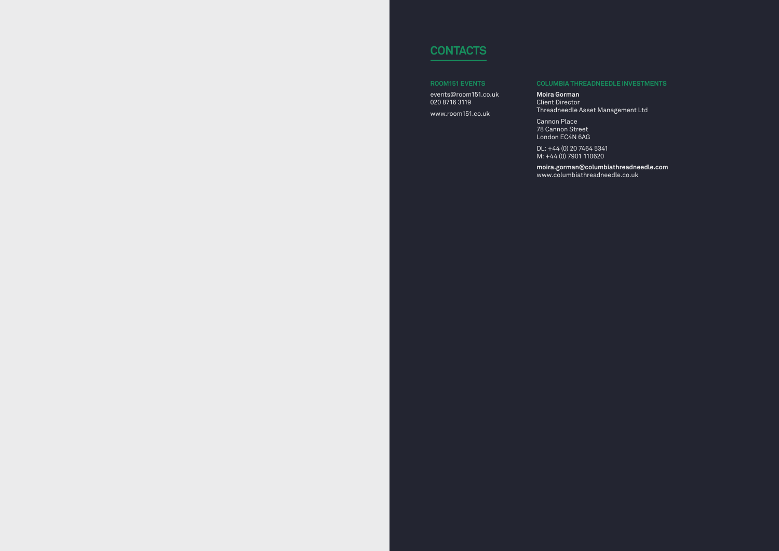# **Contacts**

## **Room151 Events**

events@room151.co.uk 020 8716 3119

www.room151.co.uk

## **Columbia Threadneedle Investments**

**Moira Gorman** Client Director

Threadneedle Asset Management Ltd

Cannon Place 78 Cannon Street London EC4N 6AG

DL: +44 (0) 20 7464 5341 M: +44 (0) 7901 110620

**moira.gorman@columbiathreadneedle.com** www.columbiathreadneedle.co.uk